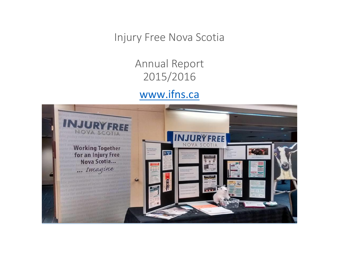Injury Free Nova Scotia

Annual Report 2015/2016 [www.ifns.ca](http://www.ifns.ca/)

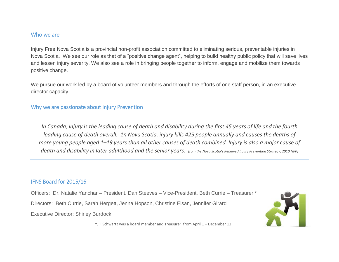#### Who we are

Injury Free Nova Scotia is a provincial non-profit association committed to eliminating serious, preventable injuries in Nova Scotia. We see our role as that of a "positive change agent", helping to build healthy public policy that will save lives and lessen injury severity. We also see a role in bringing people together to inform, engage and mobilize them towards positive change.

We pursue our work led by a board of volunteer members and through the efforts of one staff person, in an executive director capacity.

## Why we are passionate about Injury Prevention

*In Canada, injury is the leading cause of death and disability during the first 45 years of life and the fourth leading cause of death overall. 1n Nova Scotia, injury kills 425 people annually and causes the deaths of more young people aged 1–19 years than all other causes of death combined. Injury is also a major cause of death and disability in later adulthood and the senior years. from the Nova Scotia's Renewed Injury Prevention Strategy, 2010 HPP)*

# IFNS Board for 2015/16

Officers: Dr. Natalie Yanchar – President, Dan Steeves – Vice-President, Beth Currie – Treasurer \*

Directors: Beth Currie, Sarah Hergett, Jenna Hopson, Christine Eisan, Jennifer Girard

Executive Director: Shirley Burdock



\*Jill Schwartz was a board member and Treasurer from April 1 – December 12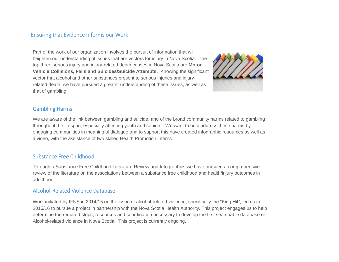## Ensuring that Evidence Informs our Work

Part of the work of our organization involves the pursuit of information that will heighten our understanding of issues that are vectors for injury in Nova Scotia. The top three serious injury and injury-related death causes in Nova Scotia are **Motor Vehicle Collisions, Falls and Suicides/Suicide Attempts.** Knowing the significant vector that alcohol and other substances present to serious injuries and injuryrelated death, we have pursued a greater understanding of these issues, as well as that of gambling.



### Gambling Harms

We are aware of the link between gambling and suicide, and of the broad community harms related to gambling throughout the lifespan, especially affecting youth and seniors. We want to help address these harms by engaging communities in meaningful dialogue and to support this have created infographic resources as well as a video, with the assistance of two skilled Health Promotion interns.

### Substance Free Childhood

Through a Substance Free Childhood Literature Review and Infographics we have pursued a comprehensive review of the literature on the associations between a substance free childhood and health/injury outcomes in adulthood.

#### Alcohol-Related Violence Database

Work initiated by IFNS in 2014/15 on the issue of alcohol-related violence, specifically the "King Hit", led us in 2015/16 to pursue a project in partnership with the Nova Scotia Health Authority. This project engages us to help determine the required steps, resources and coordination necessary to develop the first searchable database of Alcohol-related violence in Nova Scotia. This project is currently ongoing.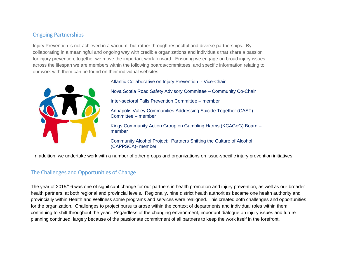# Ongoing Partnerships

Injury Prevention is not achieved in a vacuum, but rather through respectful and diverse partnerships. By collaborating in a meaningful and ongoing way with credible organizations and individuals that share a passion for injury prevention, together we move the important work forward. Ensuring we engage on broad injury issues across the lifespan we are members within the following boards/committees, and specific information relating to our work with them can be found on their individual websites.



Atlantic Collaborative on Injury Prevention - Vice-Chair

Nova Scotia Road Safety Advisory Committee – Community Co-Chair Inter-sectoral Falls Prevention Committee – member Annapolis Valley Communities Addressing Suicide Together (CAST) Committee – member Kings Community Action Group on Gambling Harms (KCAGoG) Board – member

Community Alcohol Project: Partners Shifting the Culture of Alcohol (CAPPSCA)- member

In addition, we undertake work with a number of other groups and organizations on issue-specific injury prevention initiatives.

# The Challenges and Opportunities of Change

The year of 2015/16 was one of significant change for our partners in health promotion and injury prevention, as well as our broader health partners, at both regional and provincial levels. Regionally, nine district health authorities became one health authority and provincially within Health and Wellness some programs and services were realigned. This created both challenges and opportunities for the organization. Challenges to project pursuits arose within the context of departments and individual roles within them continuing to shift throughout the year. Regardless of the changing environment, important dialogue on injury issues and future planning continued, largely because of the passionate commitment of all partners to keep the work itself in the forefront.